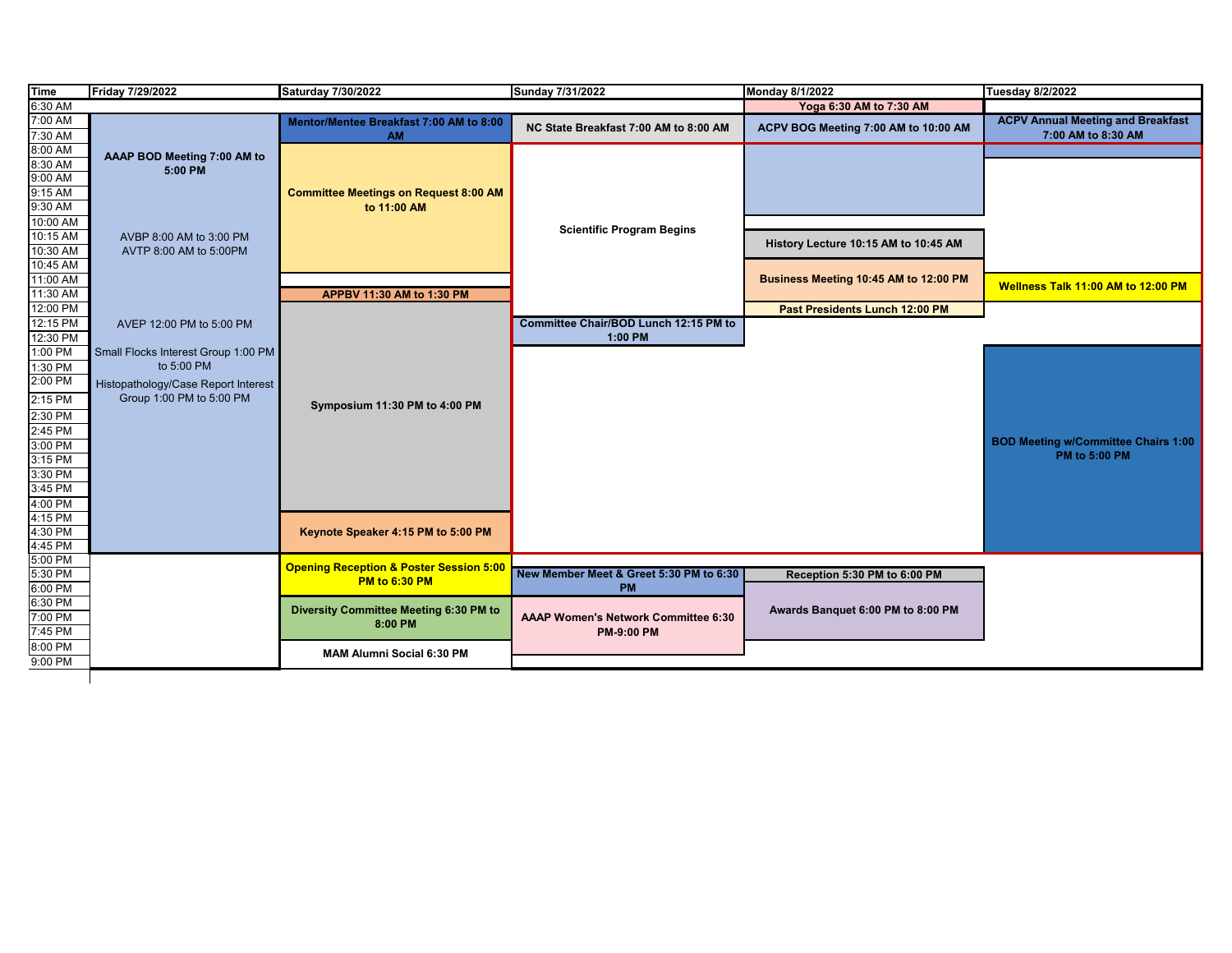| <b>Time</b> | Friday 7/29/2022                    | Saturday 7/30/2022                                 | Sunday 7/31/2022                        | Monday 8/1/2022                       | <b>Tuesday 8/2/2022</b>                    |
|-------------|-------------------------------------|----------------------------------------------------|-----------------------------------------|---------------------------------------|--------------------------------------------|
| 6:30 AM     |                                     |                                                    |                                         | Yoga 6:30 AM to 7:30 AM               |                                            |
| 7:00 AM     |                                     | Mentor/Mentee Breakfast 7:00 AM to 8:00            | NC State Breakfast 7:00 AM to 8:00 AM   | ACPV BOG Meeting 7:00 AM to 10:00 AM  | <b>ACPV Annual Meeting and Breakfast</b>   |
| 7:30 AM     |                                     | <b>AM</b>                                          |                                         |                                       | 7:00 AM to 8:30 AM                         |
| 8:00 AM     | AAAP BOD Meeting 7:00 AM to         |                                                    |                                         |                                       |                                            |
| 8:30 AM     | 5:00 PM                             |                                                    |                                         |                                       |                                            |
| 9:00 AM     |                                     |                                                    |                                         |                                       |                                            |
| 9:15 AM     |                                     | <b>Committee Meetings on Request 8:00 AM</b>       |                                         |                                       |                                            |
| 9:30 AM     |                                     | to 11:00 AM                                        |                                         |                                       |                                            |
| 10:00 AM    |                                     |                                                    | <b>Scientific Program Begins</b>        |                                       |                                            |
| 10:15 AM    | AVBP 8:00 AM to 3:00 PM             |                                                    |                                         | History Lecture 10:15 AM to 10:45 AM  |                                            |
| 10:30 AM    | AVTP 8:00 AM to 5:00PM              |                                                    |                                         |                                       |                                            |
| 10:45 AM    |                                     |                                                    |                                         |                                       |                                            |
| 11:00 AM    |                                     |                                                    |                                         | Business Meeting 10:45 AM to 12:00 PM | Wellness Talk 11:00 AM to 12:00 PM         |
| 11:30 AM    |                                     | APPBV 11:30 AM to 1:30 PM                          |                                         |                                       |                                            |
| 12:00 PM    |                                     |                                                    |                                         | Past Presidents Lunch 12:00 PM        |                                            |
| 12:15 PM    | AVEP 12:00 PM to 5:00 PM            |                                                    | Committee Chair/BOD Lunch 12:15 PM to   |                                       |                                            |
| 12:30 PM    |                                     |                                                    | 1:00 PM                                 |                                       |                                            |
| 1:00 PM     | Small Flocks Interest Group 1:00 PM |                                                    |                                         |                                       |                                            |
| 1:30 PM     | to 5:00 PM                          |                                                    |                                         |                                       |                                            |
| $2:00$ PM   | Histopathology/Case Report Interest |                                                    |                                         |                                       |                                            |
| $2:15$ PM   | Group 1:00 PM to 5:00 PM            |                                                    |                                         |                                       |                                            |
| 2:30 PM     |                                     | Symposium 11:30 PM to 4:00 PM                      |                                         |                                       |                                            |
| 2:45 PM     |                                     |                                                    |                                         |                                       |                                            |
| 3:00 PM     |                                     |                                                    |                                         |                                       | <b>BOD Meeting w/Committee Chairs 1:00</b> |
| $3:15$ PM   |                                     |                                                    |                                         |                                       | <b>PM to 5:00 PM</b>                       |
| 3:30 PM     |                                     |                                                    |                                         |                                       |                                            |
| 3:45 PM     |                                     |                                                    |                                         |                                       |                                            |
| 4:00 PM     |                                     |                                                    |                                         |                                       |                                            |
| 4:15 PM     |                                     |                                                    |                                         |                                       |                                            |
| 4:30 PM     |                                     | Keynote Speaker 4:15 PM to 5:00 PM                 |                                         |                                       |                                            |
| 4:45 PM     |                                     |                                                    |                                         |                                       |                                            |
| 5:00 PM     |                                     |                                                    |                                         |                                       |                                            |
| 5:30 PM     |                                     | <b>Opening Reception &amp; Poster Session 5:00</b> | New Member Meet & Greet 5:30 PM to 6:30 | Reception 5:30 PM to 6:00 PM          |                                            |
| 6:00 PM     |                                     | <b>PM to 6:30 PM</b>                               | <b>PM</b>                               |                                       |                                            |
| 6:30 PM     |                                     |                                                    |                                         |                                       |                                            |
| 7:00 PM     |                                     | Diversity Committee Meeting 6:30 PM to             | AAAP Women's Network Committee 6:30     | Awards Banquet 6:00 PM to 8:00 PM     |                                            |
| 7:45 PM     |                                     | 8:00 PM                                            | <b>PM-9:00 PM</b>                       |                                       |                                            |
| 8:00 PM     |                                     |                                                    |                                         |                                       |                                            |
| 9:00 PM     |                                     | <b>MAM Alumni Social 6:30 PM</b>                   |                                         |                                       |                                            |
|             |                                     |                                                    |                                         |                                       |                                            |